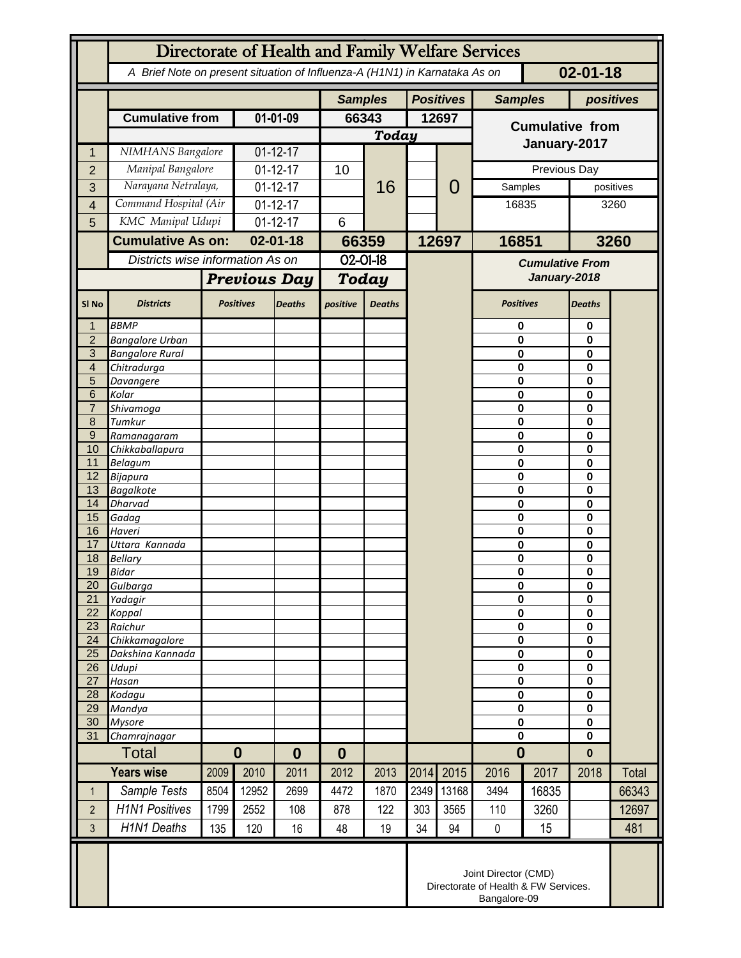|                       | Directorate of Health and Family Welfare Services                                            |                  |                              |               |                  |               |       |                  |                                                                              |              |               |              |  |
|-----------------------|----------------------------------------------------------------------------------------------|------------------|------------------------------|---------------|------------------|---------------|-------|------------------|------------------------------------------------------------------------------|--------------|---------------|--------------|--|
|                       | A Brief Note on present situation of Influenza-A (H1N1) in Karnataka As on<br>$02 - 01 - 18$ |                  |                              |               |                  |               |       |                  |                                                                              |              |               |              |  |
|                       |                                                                                              |                  |                              |               | <b>Samples</b>   |               |       | <b>Positives</b> | <b>Samples</b>                                                               |              | positives     |              |  |
|                       | <b>Cumulative from</b>                                                                       |                  | $01 - 01 - 09$               |               | 66343            |               | 12697 |                  | <b>Cumulative from</b>                                                       |              |               |              |  |
|                       |                                                                                              |                  |                              |               |                  | <b>Today</b>  |       |                  | January-2017                                                                 |              |               |              |  |
| 1                     | NIMHANS Bangalore                                                                            |                  | $01 - 12 - 17$               |               |                  |               |       |                  |                                                                              |              |               |              |  |
| $\overline{2}$        | Manipal Bangalore                                                                            |                  | $01 - 12 - 17$               |               | 10               |               |       | 0                |                                                                              | Previous Day |               |              |  |
| 3                     | Narayana Netralaya,                                                                          |                  | $01 - 12 - 17$               |               |                  | 16            |       |                  | Samples                                                                      |              |               | positives    |  |
| 4                     | Command Hospital (Air                                                                        |                  | $01 - 12 - 17$               |               |                  |               |       |                  |                                                                              | 16835        |               | 3260         |  |
| 5                     | KMC Manipal Udupi                                                                            |                  | $01 - 12 - 17$               |               | 6                |               |       |                  |                                                                              |              |               |              |  |
|                       | <b>Cumulative As on:</b><br>Districts wise information As on                                 |                  | $02 - 01 - 18$               |               | 66359            |               | 12697 |                  | 16851                                                                        |              | 3260          |              |  |
|                       |                                                                                              |                  |                              |               | 02-01-18         |               |       |                  | <b>Cumulative From</b>                                                       |              |               |              |  |
|                       |                                                                                              |                  | <b>Previous Day</b>          |               | <b>Today</b>     |               |       |                  | January-2018                                                                 |              |               |              |  |
| SI <sub>No</sub>      | <b>Districts</b>                                                                             | <b>Positives</b> |                              | <b>Deaths</b> | positive         | <b>Deaths</b> |       |                  | <b>Positives</b>                                                             |              | <b>Deaths</b> |              |  |
| 1                     | <b>BBMP</b>                                                                                  |                  |                              |               |                  |               |       |                  | 0                                                                            |              | 0             |              |  |
| $\overline{2}$<br>3   | <b>Bangalore Urban</b><br><b>Bangalore Rural</b>                                             |                  |                              |               |                  |               |       |                  | 0<br>0                                                                       |              | 0<br>0        |              |  |
| $\overline{4}$        | Chitradurga                                                                                  |                  |                              |               |                  |               |       |                  | 0                                                                            |              | 0             |              |  |
| 5                     | Davangere                                                                                    |                  |                              |               |                  |               |       |                  | 0                                                                            |              | 0             |              |  |
| 6                     | Kolar                                                                                        |                  |                              |               |                  |               |       |                  | 0                                                                            |              | 0             |              |  |
| $\overline{7}$<br>8   | Shivamoga<br>Tumkur                                                                          |                  |                              |               |                  |               |       |                  | 0<br>0                                                                       |              | 0<br>0        |              |  |
| $\overline{9}$        | Ramanagaram                                                                                  |                  |                              |               |                  |               |       |                  | 0                                                                            |              | 0             |              |  |
| 10                    | Chikkaballapura                                                                              |                  |                              |               |                  |               |       |                  | 0                                                                            |              | 0             |              |  |
| 11<br>12              | <b>Belagum</b>                                                                               |                  |                              |               |                  |               |       |                  | 0<br>0                                                                       |              | 0<br>0        |              |  |
| 13                    | <b>Bijapura</b><br><b>Bagalkote</b>                                                          |                  |                              |               |                  |               |       |                  | 0                                                                            |              | 0             |              |  |
| 14                    | <b>Dharvad</b>                                                                               |                  |                              |               |                  |               |       |                  | $\bf{0}$                                                                     |              | 0             |              |  |
| 15                    | Gadag                                                                                        |                  |                              |               |                  |               |       |                  |                                                                              | 0            |               |              |  |
| 16<br>17              | Haveri<br>Uttara Kannada                                                                     |                  |                              |               |                  |               |       |                  | 0<br>0                                                                       |              | 0<br>0        |              |  |
| 18                    | <b>Bellary</b>                                                                               |                  |                              |               |                  |               |       |                  | 0                                                                            |              | 0             |              |  |
| 19                    | <b>Bidar</b>                                                                                 |                  |                              |               |                  |               |       |                  | $\bf{0}$                                                                     |              | $\mathbf 0$   |              |  |
| 20                    | Gulbarga                                                                                     |                  |                              |               |                  |               |       |                  | 0                                                                            |              | 0             |              |  |
| $\overline{21}$<br>22 | Yadagir<br>Koppal                                                                            |                  |                              |               |                  |               |       |                  | $\bf{0}$<br>$\pmb{0}$                                                        |              | 0<br>0        |              |  |
| 23                    | Raichur                                                                                      |                  |                              |               |                  |               |       |                  | $\mathbf 0$                                                                  |              | 0             |              |  |
| 24                    | Chikkamagalore                                                                               |                  |                              |               |                  |               |       |                  | $\pmb{0}$                                                                    |              | 0             |              |  |
| 25                    | Dakshina Kannada                                                                             |                  |                              |               |                  |               |       |                  | $\mathbf 0$                                                                  |              | 0             |              |  |
| 26<br>27              | Udupi<br>Hasan                                                                               |                  |                              |               |                  |               |       |                  | 0<br>$\mathbf 0$                                                             |              | 0<br>0        |              |  |
| 28                    | Kodagu                                                                                       |                  |                              |               |                  |               |       |                  | 0                                                                            |              | 0             |              |  |
| 29                    | Mandya                                                                                       |                  |                              |               |                  |               |       |                  | $\bf{0}$                                                                     |              | 0             |              |  |
| 30<br>31              | <b>Mysore</b><br>Chamrajnagar                                                                |                  |                              |               |                  |               |       |                  | 0<br>$\mathbf 0$                                                             |              | 0<br>$\bf{0}$ |              |  |
|                       | <b>Total</b>                                                                                 |                  | $\boldsymbol{0}$<br>$\bf{0}$ |               | $\boldsymbol{0}$ |               |       |                  | $\bf{0}$                                                                     |              | $\pmb{0}$     |              |  |
| <b>Years wise</b>     |                                                                                              | 2009             | 2010                         | 2011          | 2012             | 2013          | 2014  | 2015             | 2016                                                                         | 2017         | 2018          | <b>Total</b> |  |
| $\mathbf 1$           | Sample Tests                                                                                 | 8504             | 12952                        | 2699          | 4472             | 1870          | 2349  | 13168            | 3494                                                                         | 16835        |               | 66343        |  |
| $\overline{2}$        | <b>H1N1 Positives</b>                                                                        | 1799             | 2552                         | 108           | 878              | 122           | 303   | 3565             | 110                                                                          | 3260         |               | 12697        |  |
| 3                     | <b>H1N1 Deaths</b>                                                                           | 135              | 120                          | 16            | 48               | 19            | 34    | 94               | $\mathbf 0$                                                                  | 15           |               | 481          |  |
|                       |                                                                                              |                  |                              |               |                  |               |       |                  |                                                                              |              |               |              |  |
|                       |                                                                                              |                  |                              |               |                  |               |       |                  | Joint Director (CMD)<br>Directorate of Health & FW Services.<br>Bangalore-09 |              |               |              |  |